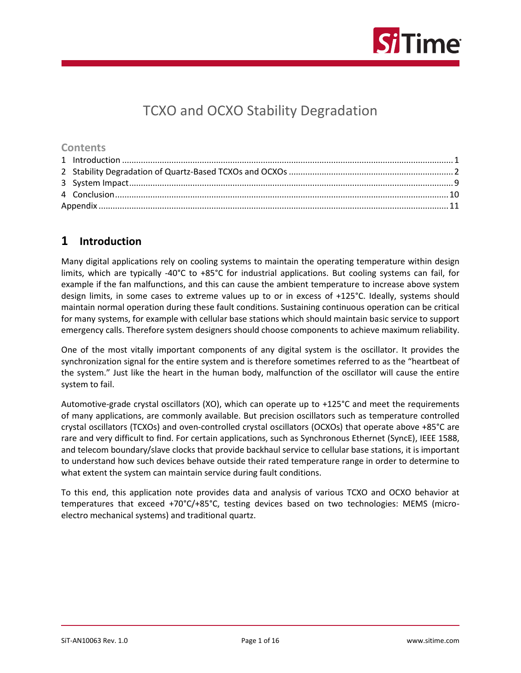

# TCXO and OCXO Stability Degradation

#### **Contents**

## <span id="page-0-0"></span>**1 Introduction**

Many digital applications rely on cooling systems to maintain the operating temperature within design limits, which are typically -40°C to +85°C for industrial applications. But cooling systems can fail, for example if the fan malfunctions, and this can cause the ambient temperature to increase above system design limits, in some cases to extreme values up to or in excess of +125°C. Ideally, systems should maintain normal operation during these fault conditions. Sustaining continuous operation can be critical for many systems, for example with cellular base stations which should maintain basic service to support emergency calls. Therefore system designers should choose components to achieve maximum reliability.

One of the most vitally important components of any digital system is the oscillator. It provides the synchronization signal for the entire system and is therefore sometimes referred to as the "heartbeat of the system." Just like the heart in the human body, malfunction of the oscillator will cause the entire system to fail.

Automotive-grade crystal oscillators (XO), which can operate up to +125°C and meet the requirements of many applications, are commonly available. But precision oscillators such as temperature controlled crystal oscillators (TCXOs) and oven-controlled crystal oscillators (OCXOs) that operate above +85°C are rare and very difficult to find. For certain applications, such as Synchronous Ethernet (SyncE), IEEE 1588, and telecom boundary/slave clocks that provide backhaul service to cellular base stations, it is important to understand how such devices behave outside their rated temperature range in order to determine to what extent the system can maintain service during fault conditions.

To this end, this application note provides data and analysis of various TCXO and OCXO behavior at temperatures that exceed +70°C/+85°C, testing devices based on two technologies: MEMS (microelectro mechanical systems) and traditional quartz.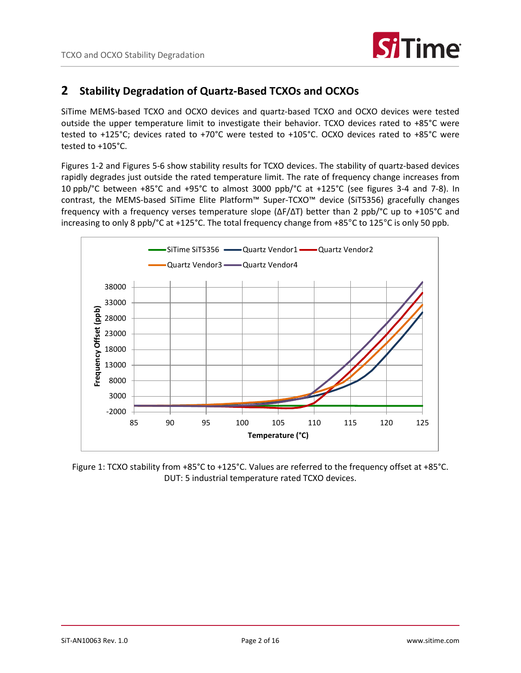

#### <span id="page-1-0"></span>**2 Stability Degradation of Quartz-Based TCXOs and OCXOs**

SiTime MEMS-based TCXO and OCXO devices and quartz-based TCXO and OCXO devices were tested outside the upper temperature limit to investigate their behavior. TCXO devices rated to +85°C were tested to +125°C; devices rated to +70°C were tested to +105°C. OCXO devices rated to +85°C were tested to +105°C.

Figures 1-2 and Figures 5-6 show stability results for TCXO devices. The stability of quartz-based devices rapidly degrades just outside the rated temperature limit. The rate of frequency change increases from 10 ppb/°C between +85°C and +95°C to almost 3000 ppb/°C at +125°C (see figures 3-4 and 7-8). In contrast, the MEMS-based SiTime Elite Platform™ Super-TCXO™ device (SiT5356) gracefully changes frequency with a frequency verses temperature slope (ΔF/ΔT) better than 2 ppb/°C up to +105°C and increasing to only 8 ppb/°C at +125°C. The total frequency change from +85°C to 125°C is only 50 ppb.



Figure 1: TCXO stability from +85°C to +125°C. Values are referred to the frequency offset at +85°C. DUT: 5 industrial temperature rated TCXO devices.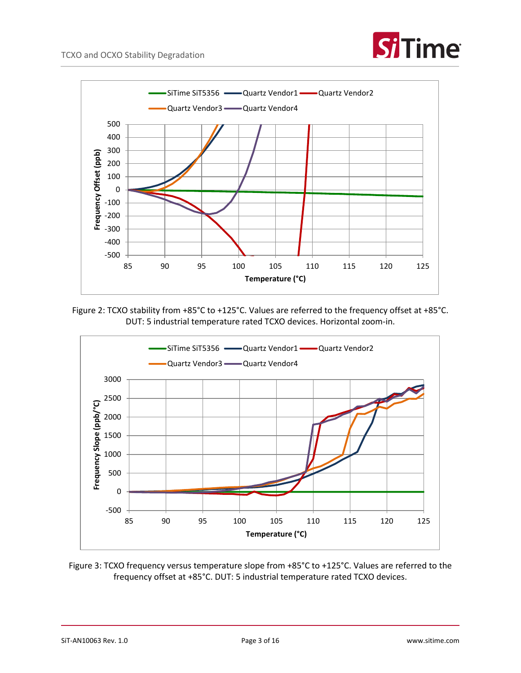



Figure 2: TCXO stability from +85°C to +125°C. Values are referred to the frequency offset at +85°C. DUT: 5 industrial temperature rated TCXO devices. Horizontal zoom-in.



Figure 3: TCXO frequency versus temperature slope from +85°C to +125°C. Values are referred to the frequency offset at +85°C. DUT: 5 industrial temperature rated TCXO devices.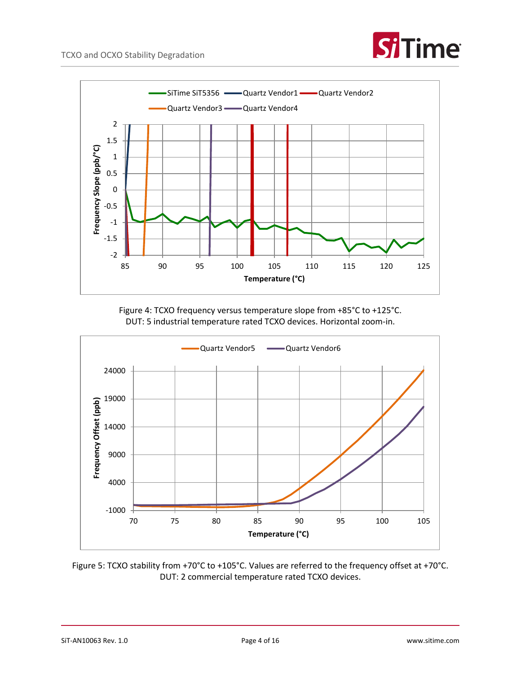



Figure 4: TCXO frequency versus temperature slope from +85°C to +125°C. DUT: 5 industrial temperature rated TCXO devices. Horizontal zoom-in.



Figure 5: TCXO stability from +70°C to +105°C. Values are referred to the frequency offset at +70°C. DUT: 2 commercial temperature rated TCXO devices.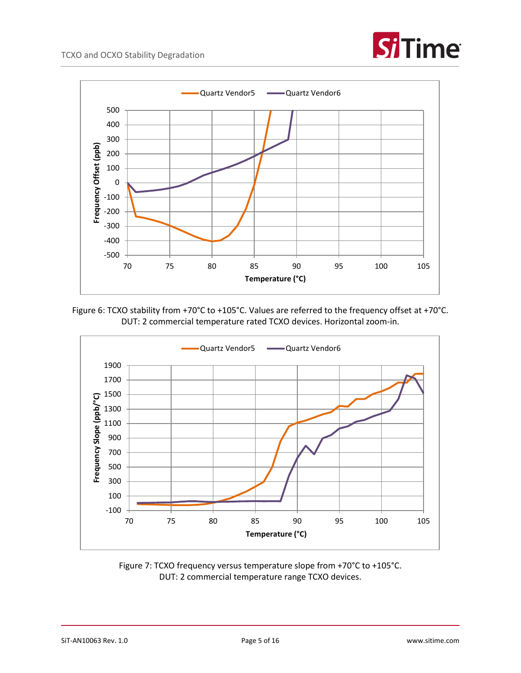







Figure 7: TCXO frequency versus temperature slope from +70°C to +105°C. DUT: 2 commercial temperature range TCXO devices.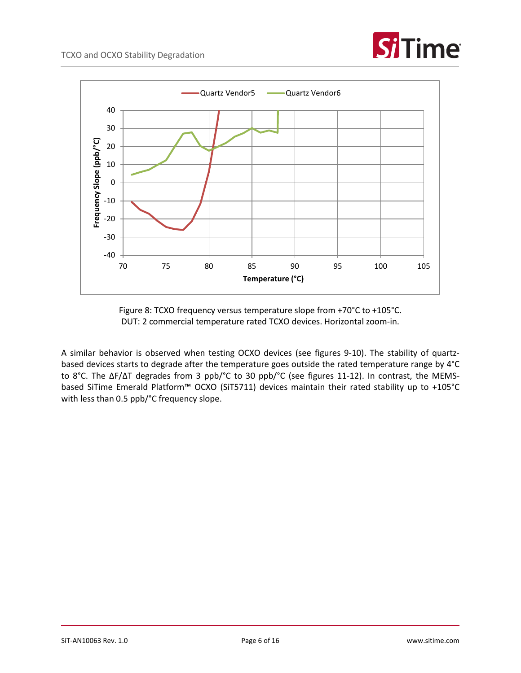



Figure 8: TCXO frequency versus temperature slope from +70°C to +105°C. DUT: 2 commercial temperature rated TCXO devices. Horizontal zoom-in.

A similar behavior is observed when testing OCXO devices (see figures 9-10). The stability of quartzbased devices starts to degrade after the temperature goes outside the rated temperature range by 4°C to 8°C. The ΔF/ΔT degrades from 3 ppb/°C to 30 ppb/°C (see figures 11-12). In contrast, the MEMSbased SiTime Emerald Platform™ OCXO (SiT5711) devices maintain their rated stability up to +105°C with less than 0.5 ppb/°C frequency slope.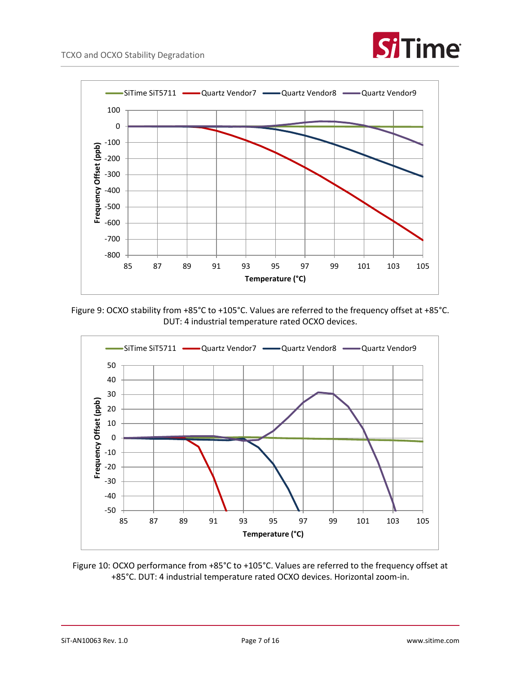



Figure 9: OCXO stability from +85°C to +105°C. Values are referred to the frequency offset at +85°C. DUT: 4 industrial temperature rated OCXO devices.



Figure 10: OCXO performance from +85°C to +105°C. Values are referred to the frequency offset at +85°C. DUT: 4 industrial temperature rated OCXO devices. Horizontal zoom-in.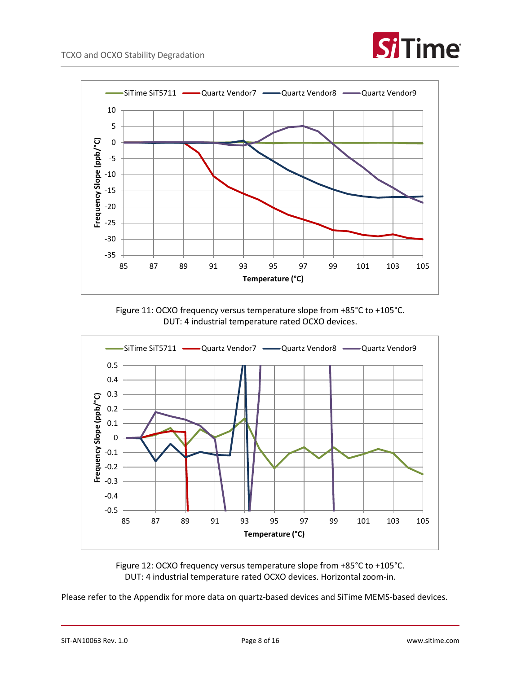



Figure 11: OCXO frequency versus temperature slope from +85°C to +105°C. DUT: 4 industrial temperature rated OCXO devices.



Figure 12: OCXO frequency versus temperature slope from +85°C to +105°C. DUT: 4 industrial temperature rated OCXO devices. Horizontal zoom-in.

Please refer to the Appendix for more data on quartz-based devices and SiTime MEMS-based devices.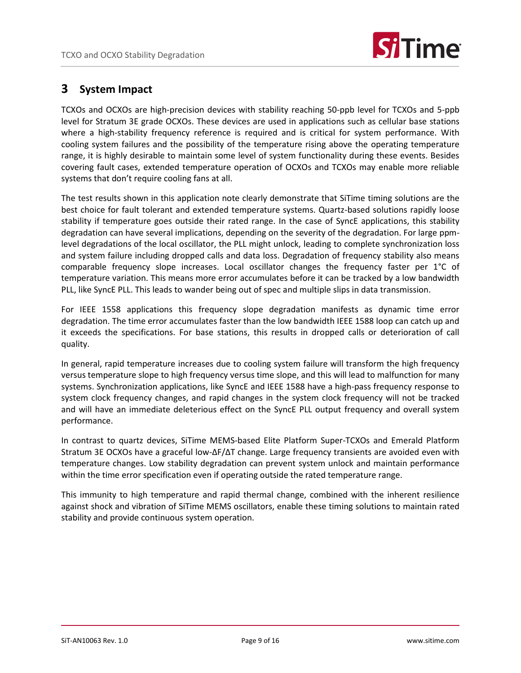

### <span id="page-8-0"></span>**3 System Impact**

TCXOs and OCXOs are high-precision devices with stability reaching 50-ppb level for TCXOs and 5-ppb level for Stratum 3E grade OCXOs. These devices are used in applications such as cellular base stations where a high-stability frequency reference is required and is critical for system performance. With cooling system failures and the possibility of the temperature rising above the operating temperature range, it is highly desirable to maintain some level of system functionality during these events. Besides covering fault cases, extended temperature operation of OCXOs and TCXOs may enable more reliable systems that don't require cooling fans at all.

The test results shown in this application note clearly demonstrate that SiTime timing solutions are the best choice for fault tolerant and extended temperature systems. Quartz-based solutions rapidly loose stability if temperature goes outside their rated range. In the case of SyncE applications, this stability degradation can have several implications, depending on the severity of the degradation. For large ppmlevel degradations of the local oscillator, the PLL might unlock, leading to complete synchronization loss and system failure including dropped calls and data loss. Degradation of frequency stability also means comparable frequency slope increases. Local oscillator changes the frequency faster per 1°C of temperature variation. This means more error accumulates before it can be tracked by a low bandwidth PLL, like SyncE PLL. This leads to wander being out of spec and multiple slips in data transmission.

For IEEE 1558 applications this frequency slope degradation manifests as dynamic time error degradation. The time error accumulates faster than the low bandwidth IEEE 1588 loop can catch up and it exceeds the specifications. For base stations, this results in dropped calls or deterioration of call quality.

In general, rapid temperature increases due to cooling system failure will transform the high frequency versus temperature slope to high frequency versus time slope, and this will lead to malfunction for many systems. Synchronization applications, like SyncE and IEEE 1588 have a high-pass frequency response to system clock frequency changes, and rapid changes in the system clock frequency will not be tracked and will have an immediate deleterious effect on the SyncE PLL output frequency and overall system performance.

In contrast to quartz devices, SiTime MEMS-based Elite Platform Super-TCXOs and Emerald Platform Stratum 3E OCXOs have a graceful low-ΔF/ΔT change. Large frequency transients are avoided even with temperature changes. Low stability degradation can prevent system unlock and maintain performance within the time error specification even if operating outside the rated temperature range.

This immunity to high temperature and rapid thermal change, combined with the inherent resilience against shock and vibration of SiTime MEMS oscillators, enable these timing solutions to maintain rated stability and provide continuous system operation.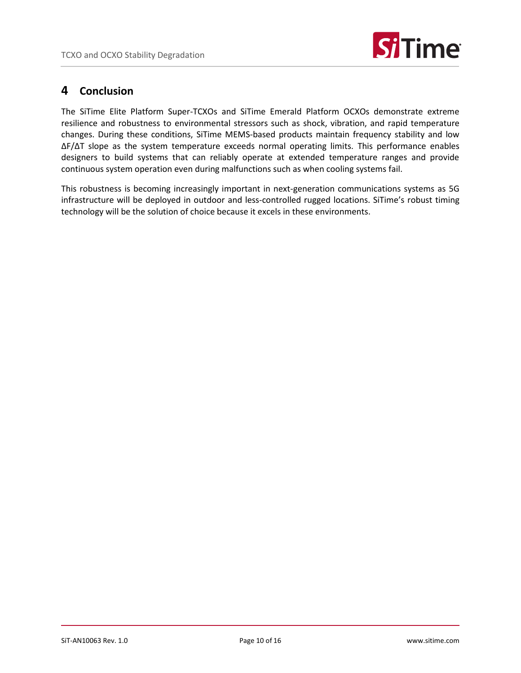

#### <span id="page-9-0"></span>**4 Conclusion**

The SiTime Elite Platform Super-TCXOs and SiTime Emerald Platform OCXOs demonstrate extreme resilience and robustness to environmental stressors such as shock, vibration, and rapid temperature changes. During these conditions, SiTime MEMS-based products maintain frequency stability and low ΔF/ΔT slope as the system temperature exceeds normal operating limits. This performance enables designers to build systems that can reliably operate at extended temperature ranges and provide continuous system operation even during malfunctions such as when cooling systems fail.

This robustness is becoming increasingly important in next-generation communications systems as 5G infrastructure will be deployed in outdoor and less-controlled rugged locations. SiTime's robust timing technology will be the solution of choice because it excels in these environments.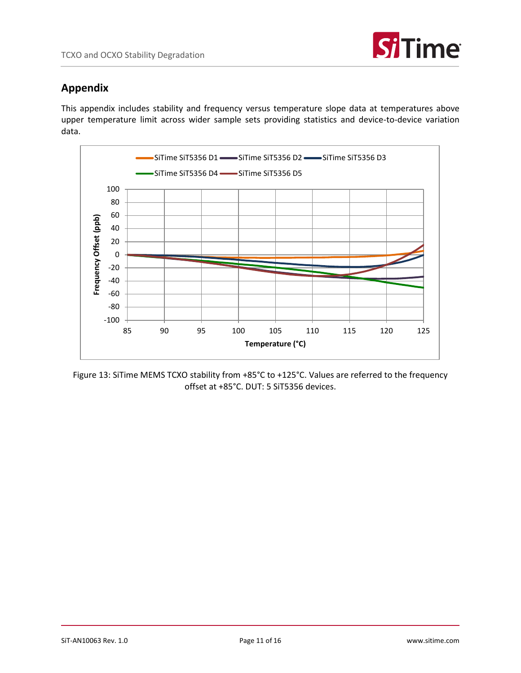

### <span id="page-10-0"></span>**Appendix**

This appendix includes stability and frequency versus temperature slope data at temperatures above upper temperature limit across wider sample sets providing statistics and device-to-device variation data.



Figure 13: SiTime MEMS TCXO stability from +85°C to +125°C. Values are referred to the frequency offset at +85°C. DUT: 5 SiT5356 devices.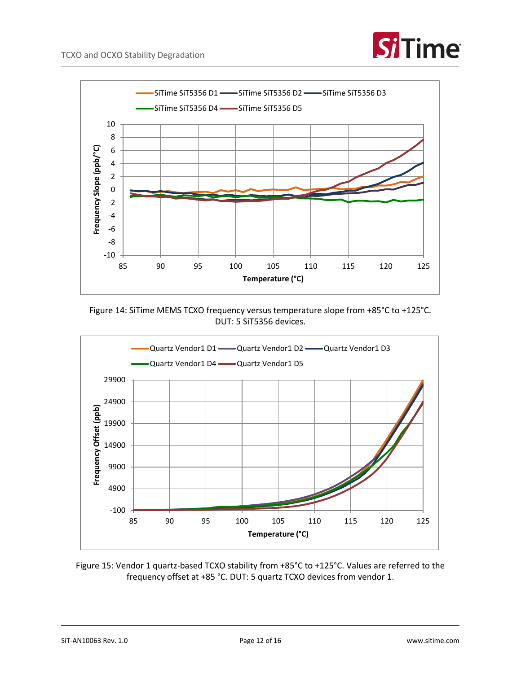



Figure 14: SiTime MEMS TCXO frequency versus temperature slope from +85°C to +125°C. DUT: 5 SiT5356 devices.



Figure 15: Vendor 1 quartz-based TCXO stability from +85°C to +125°C. Values are referred to the frequency offset at +85 °C. DUT: 5 quartz TCXO devices from vendor 1.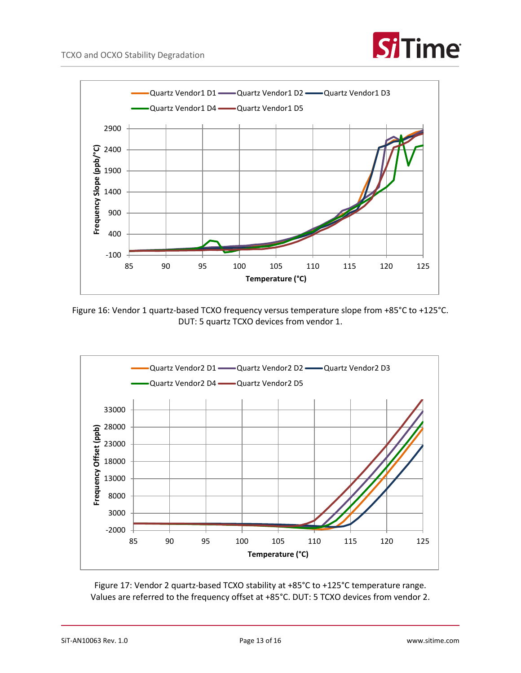



Figure 16: Vendor 1 quartz-based TCXO frequency versus temperature slope from +85°C to +125°C. DUT: 5 quartz TCXO devices from vendor 1.



Figure 17: Vendor 2 quartz-based TCXO stability at +85°C to +125°C temperature range. Values are referred to the frequency offset at +85°C. DUT: 5 TCXO devices from vendor 2.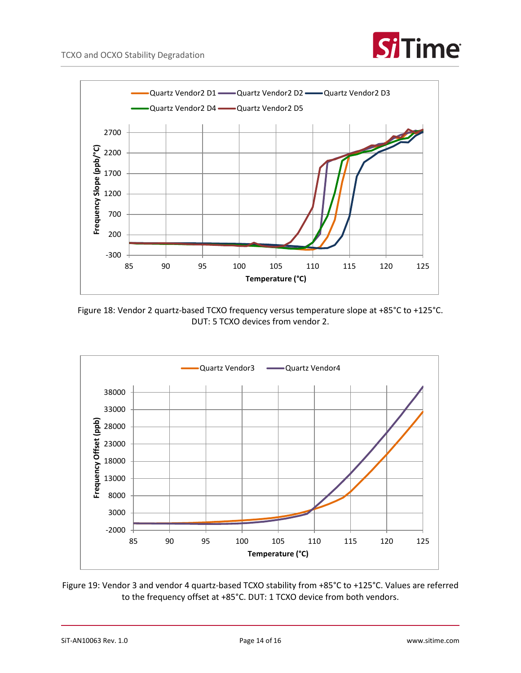



Figure 18: Vendor 2 quartz-based TCXO frequency versus temperature slope at +85°C to +125°C. DUT: 5 TCXO devices from vendor 2.



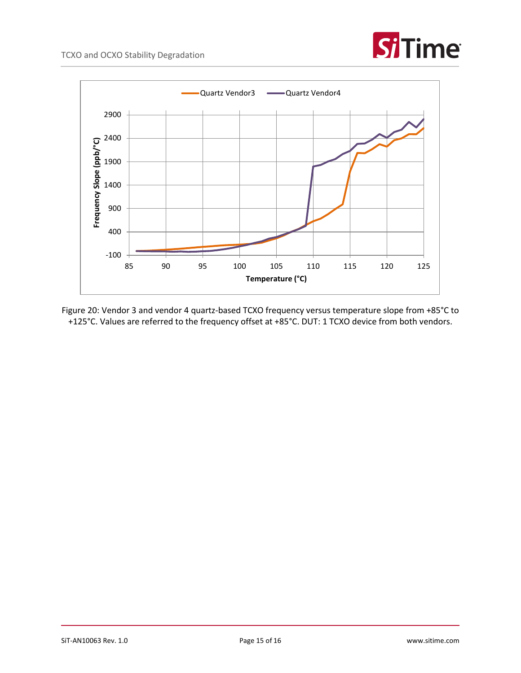



Figure 20: Vendor 3 and vendor 4 quartz-based TCXO frequency versus temperature slope from +85°C to +125°C. Values are referred to the frequency offset at +85°C. DUT: 1 TCXO device from both vendors.